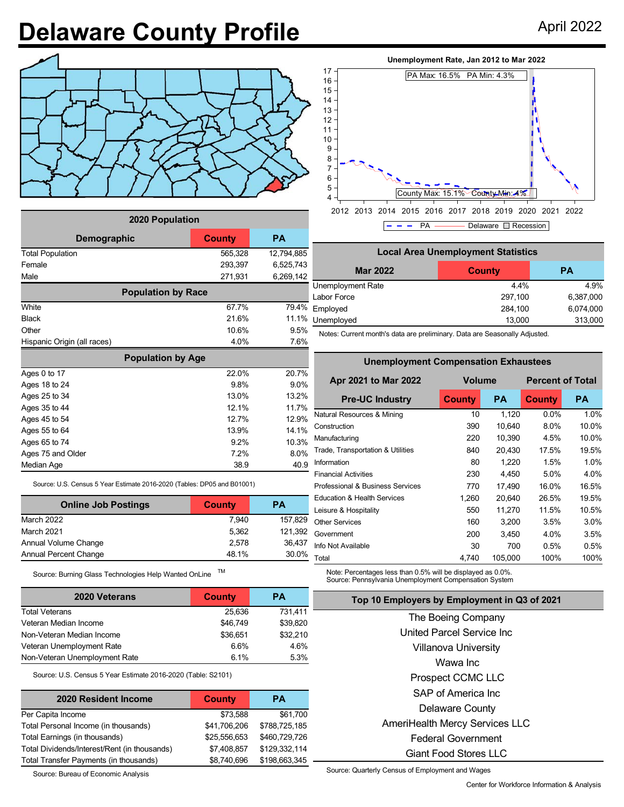## **Delaware County Profile** April 2022



| 2020 Population             |           |            |  |  |  |  |  |
|-----------------------------|-----------|------------|--|--|--|--|--|
| Demographic                 | <b>PA</b> |            |  |  |  |  |  |
| <b>Total Population</b>     | 565,328   | 12,794,885 |  |  |  |  |  |
| Female                      | 293,397   | 6,525,743  |  |  |  |  |  |
| Male                        | 271,931   | 6,269,142  |  |  |  |  |  |
| <b>Population by Race</b>   |           |            |  |  |  |  |  |
| White                       | 67.7%     | 79.4%      |  |  |  |  |  |
| <b>Black</b>                | 21.6%     | 11.1%      |  |  |  |  |  |
| Other                       | 10.6%     | 9.5%       |  |  |  |  |  |
| Hispanic Origin (all races) | 4.0%      | 7.6%       |  |  |  |  |  |
| <b>Population by Age</b>    |           |            |  |  |  |  |  |
| Ages 0 to 17                | 22.0%     | 20.7%      |  |  |  |  |  |
| Ages 18 to 24               | 9.8%      | 9.0%       |  |  |  |  |  |
| Ages 25 to 34               | 13.0%     | 13.2%      |  |  |  |  |  |
| Ages 35 to 44               | 12.1%     | 11.7%      |  |  |  |  |  |
| Ages 45 to 54               | 12.7%     | 12.9%      |  |  |  |  |  |
| Ages 55 to 64               | 13.9%     | 14.1%      |  |  |  |  |  |
| Ages 65 to 74               | 9.2%      | 10.3%      |  |  |  |  |  |
| Ages 75 and Older           | 7.2%      | 8.0%       |  |  |  |  |  |
| Median Age                  | 38.9      | 40.9       |  |  |  |  |  |

Source: U.S. Census 5 Year Estimate 2016-2020 (Tables: DP05 and B01001)

| <b>Online Job Postings</b>   | <b>County</b> | РA      |
|------------------------------|---------------|---------|
| March 2022                   | 7.940         | 157.829 |
| March 2021                   | 5.362         | 121.392 |
| Annual Volume Change         | 2.578         | 36,437  |
| <b>Annual Percent Change</b> | 48.1%         | 30.0%   |

Source: Burning Glass Technologies Help Wanted OnLine TM

| 2020 Veterans                 | County   | <b>PA</b> |
|-------------------------------|----------|-----------|
| <b>Total Veterans</b>         | 25.636   | 731,411   |
| Veteran Median Income         | \$46.749 | \$39,820  |
| Non-Veteran Median Income     | \$36,651 | \$32,210  |
| Veteran Unemployment Rate     | 6.6%     | 4.6%      |
| Non-Veteran Unemployment Rate | 6.1%     | 5.3%      |

Source: U.S. Census 5 Year Estimate 2016-2020 (Table: S2101)

| 2020 Resident Income                         | <b>County</b> | PА            |
|----------------------------------------------|---------------|---------------|
| Per Capita Income                            | \$73,588      | \$61,700      |
| Total Personal Income (in thousands)         | \$41,706,206  | \$788,725,185 |
| Total Earnings (in thousands)                | \$25,556,653  | \$460,729,726 |
| Total Dividends/Interest/Rent (in thousands) | \$7,408,857   | \$129,332,114 |
| Total Transfer Payments (in thousands)       | \$8,740,696   | \$198,663,345 |

Source: Bureau of Economic Analysis

## **Unemployment Rate, Jan 2012 to Mar 2022**



2012 2013 2014 2015 2016 2017 2018 2019 2020 2021 2022  $P - - P$ A  $\rightharpoonup$  Delaware  $\Box$  Recession

| <b>Local Area Unemployment Statistics</b> |               |           |  |  |  |  |
|-------------------------------------------|---------------|-----------|--|--|--|--|
| <b>Mar 2022</b>                           | <b>County</b> | <b>PA</b> |  |  |  |  |
| Unemployment Rate                         | 44%           | 4.9%      |  |  |  |  |
| Labor Force                               | 297,100       | 6,387,000 |  |  |  |  |
| Employed                                  | 284,100       | 6,074,000 |  |  |  |  |
| Unemployed                                | 13,000        | 313,000   |  |  |  |  |

Notes: Current month's data are preliminary. Data are Seasonally Adjusted.

**Unemployment Compensation Exhaustees**

| Unemployment Compensation Exnaustees |           |                         |           |  |  |  |  |  |
|--------------------------------------|-----------|-------------------------|-----------|--|--|--|--|--|
| <b>Volume</b>                        |           | <b>Percent of Total</b> |           |  |  |  |  |  |
| <b>County</b>                        | <b>PA</b> | <b>County</b>           | <b>PA</b> |  |  |  |  |  |
| 10                                   | 1,120     | $0.0\%$                 | 1.0%      |  |  |  |  |  |
| 390                                  | 10,640    | 8.0%                    | 10.0%     |  |  |  |  |  |
| 220                                  | 10,390    | 4.5%                    | 10.0%     |  |  |  |  |  |
| 840                                  | 20,430    | 17.5%                   | 19.5%     |  |  |  |  |  |
| 80                                   | 1,220     | 1.5%                    | 1.0%      |  |  |  |  |  |
| 230                                  | 4,450     | 5.0%                    | 4.0%      |  |  |  |  |  |
| 770                                  | 17,490    | 16.0%                   | 16.5%     |  |  |  |  |  |
| 1,260                                | 20,640    | 26.5%                   | 19.5%     |  |  |  |  |  |
| 550                                  | 11,270    | 11.5%                   | 10.5%     |  |  |  |  |  |
| 160                                  | 3,200     | 3.5%                    | 3.0%      |  |  |  |  |  |
| 200                                  | 3,450     | 4.0%                    | 3.5%      |  |  |  |  |  |
| 30                                   | 700       | 0.5%                    | 0.5%      |  |  |  |  |  |
| 4,740                                | 105,000   | 100%                    | 100%      |  |  |  |  |  |
|                                      |           |                         |           |  |  |  |  |  |

Note: Percentages less than 0.5% will be displayed as 0.0%. Source: Pennsylvania Unemployment Compensation System

|  |  | Top 10 Employers by Employment in Q3 of 2021 |
|--|--|----------------------------------------------|
|--|--|----------------------------------------------|

| The Boeing Company                    |
|---------------------------------------|
| United Parcel Service Inc             |
| Villanova University                  |
| Wawa Inc                              |
| Prospect CCMC LLC                     |
| SAP of America Inc.                   |
| <b>Delaware County</b>                |
| <b>AmeriHealth Mercy Services LLC</b> |
| <b>Federal Government</b>             |
| Giant Food Stores LLC                 |

Source: Quarterly Census of Employment and Wages